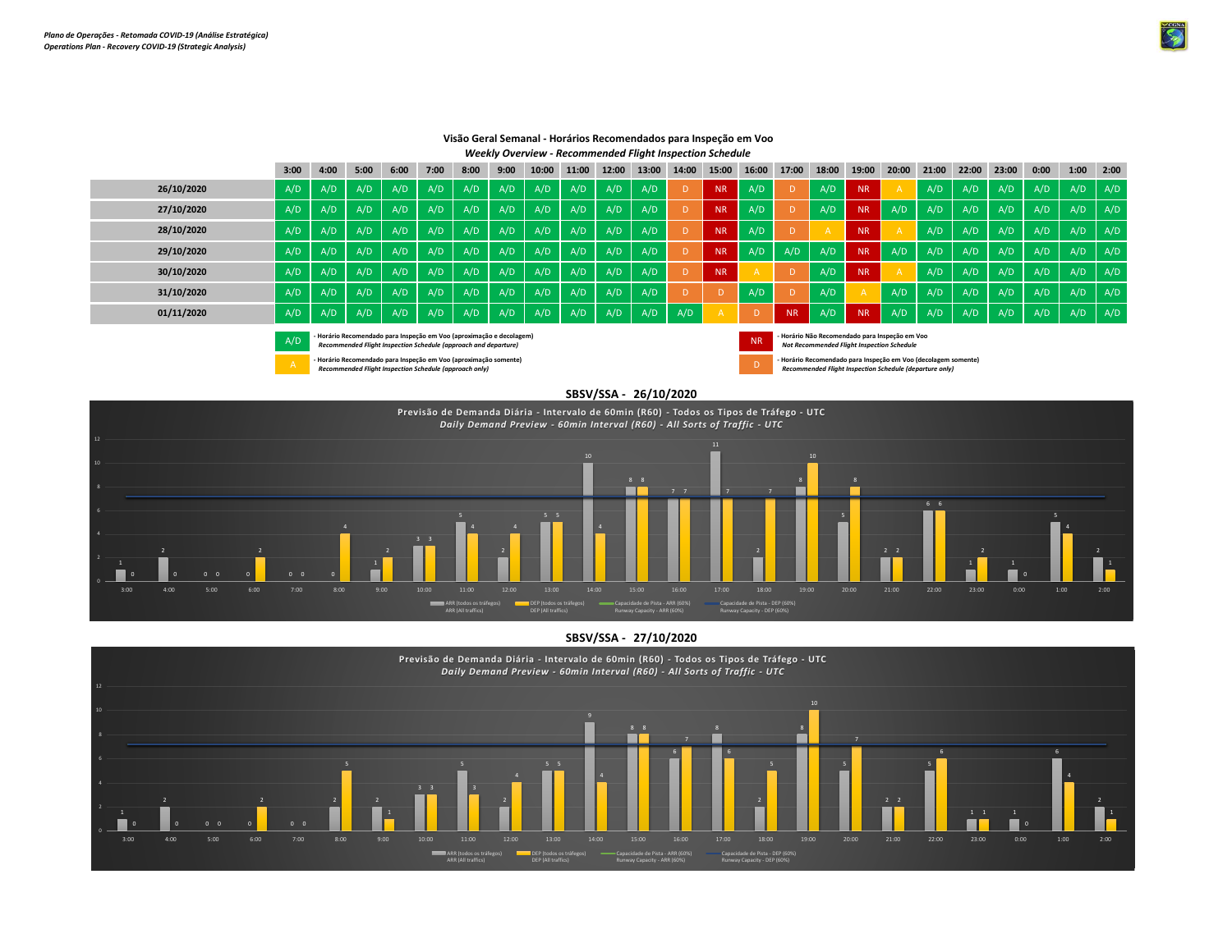

|            | 3:00                                                                                                                                         | 4:00 | 5:00 | 6:00 | 7:00 | 8:00 | 9:00 | 10:00   | 11:00 | 12:00 | 13:00 | 14:00 | 15:00     | 16:00 | 17:00          | 18:00 | 19:00                                                                                        | 20:00 | 21:00 | 22:00 | 23:00 | 0:00 | 1:00 | 2:00 |
|------------|----------------------------------------------------------------------------------------------------------------------------------------------|------|------|------|------|------|------|---------|-------|-------|-------|-------|-----------|-------|----------------|-------|----------------------------------------------------------------------------------------------|-------|-------|-------|-------|------|------|------|
| 26/10/2020 | A/D                                                                                                                                          | A/D  | A/D  | A/D  | A/D  | A/D  | A/D  | A/D     | A/D   | A/D   | A/D   | D     | <b>NR</b> | A/D   |                | A/D   | <b>NR</b>                                                                                    |       | A/D   | A/D   | A/D   | A/D  | A/D  | A/D  |
| 27/10/2020 | A/D                                                                                                                                          | A/D  | A/D  | A/D  | A/D  | A/D  | A/D  | A/D     | A/D   | A/D   | A/D   | D     | <b>NR</b> | A/D   |                | A/D   | <b>NR</b>                                                                                    | A/D   | A/D   | A/D   | A/D   | A/D  | A/D  | A/D  |
| 28/10/2020 | A/D                                                                                                                                          | A/D  | A/D  | A/D  | A/D  | A/D  | A/D  | A/D     | A/D   | A/D   | A/D   |       | <b>NR</b> | A/D   |                |       | <b>NR</b>                                                                                    |       | A/D   | A/D   | A/D   | A/D  | A/D  | A/D  |
| 29/10/2020 | A/D                                                                                                                                          | A/D  | A/D  | A/D  | A/D  | A/D  | A/D  | $A/D$ . | A/D   | A/D   | A/D   | D     | <b>NR</b> | A/D   | A/D            | A/D   | <b>NR</b>                                                                                    | A/D   | A/D   | A/D   | A/D   | A/D  | A/D  | A/D  |
| 30/10/2020 | A/D                                                                                                                                          | A/D  | A/D  | A/D  | A/D  | A/D  | A/D  | A/D     | A/D   | A/D   | A/D   |       | <b>NR</b> |       |                | A/D   | <b>NR</b>                                                                                    |       | A/D   | A/D   | A/D   | A/D  | A/D  | A/D  |
| 31/10/2020 | A/D                                                                                                                                          | A/D  | A/D  | A/D  | A/D  | A/D  | A/D  | A/D     | A/D   | A/D   | A/D   | D     |           | A/D   |                | A/D   |                                                                                              | A/D   | A/D   | A/D   | A/D   | A/D  | A/D  | A/D  |
| 01/11/2020 | A/D                                                                                                                                          | A/D  | A/D  | A/D  | A/D  | A/D  | A/D  | A/D     | A/D   | A/D   | A/D   | A/D   |           | D     | N <sub>R</sub> | A/D   | <b>NR</b>                                                                                    | A/D   | A/D   | A/D   | A/D   | A/D  | A/D  | A/D  |
|            | Horário Recomendado para Inspeção em Voo (aproximação e decolagem)<br>A/D<br>Recommended Flight Inspection Schedule (approach and departure) |      |      |      |      |      |      |         |       |       |       |       | <b>NR</b> |       |                |       | - Horário Não Recomendado para Inspeção em Voo<br>Not Recommended Flight Inspection Schedule |       |       |       |       |      |      |      |

## **Visão Geral Semanal - Horários Recomendados para Inspeção em Voo** *Weekly Overview - Recommended Flight Inspection Schedule*

 **- Horário Recomendado para Inspeção em Voo (aproximação somente)**

A D *Recommended Flight Inspection Schedule (approach only)*



 **- Horário Não Recomendado para Inspeção em Voo** *Not Recommended Flight Inspection Schedule*





**SBSV/SSA - 27/10/2020**

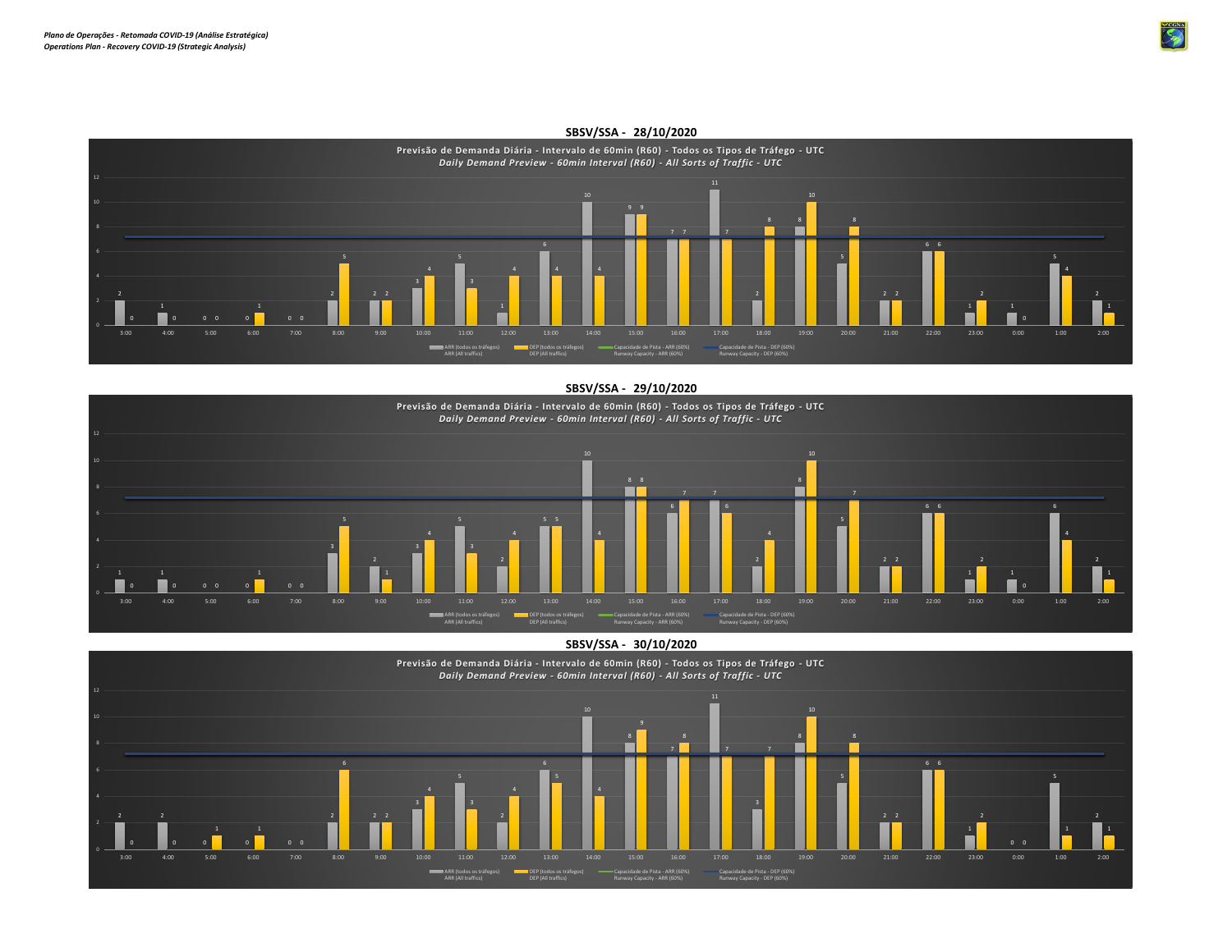

## **SBSV/SSA - 28/10/2020**

**SBSV/SSA - 29/10/2020 Previsão de Demanda Diária - Intervalo de 60min (R60) - Todos os Tipos de Tráfego - UTC** *Daily Demand Preview - 60min Interval (R60) - All Sorts of Traffic - UTC* 8 E۳ 6 1 1 0 0 0 0 3:00 4:00 5:00 6:00 7:00 8:00 9:00 10:00 11:00 12:00 13:00 14:00 15:00 16:00 17:00 18:00 19:00 20:00 21:00 22:00 23:00 0:00 1:00 2:00 ARR (todos os tráfegos) ARR (All traffics) DEP (todos os tráfegos) DEP (All traffics) Capacidade de Pista - ARR (60%) Runway Capacity - ARR (60%) Capacidade de Pista - DEP (60%) Runway Capacity - DEP (60%)

**SBSV/SSA - 30/10/2020**